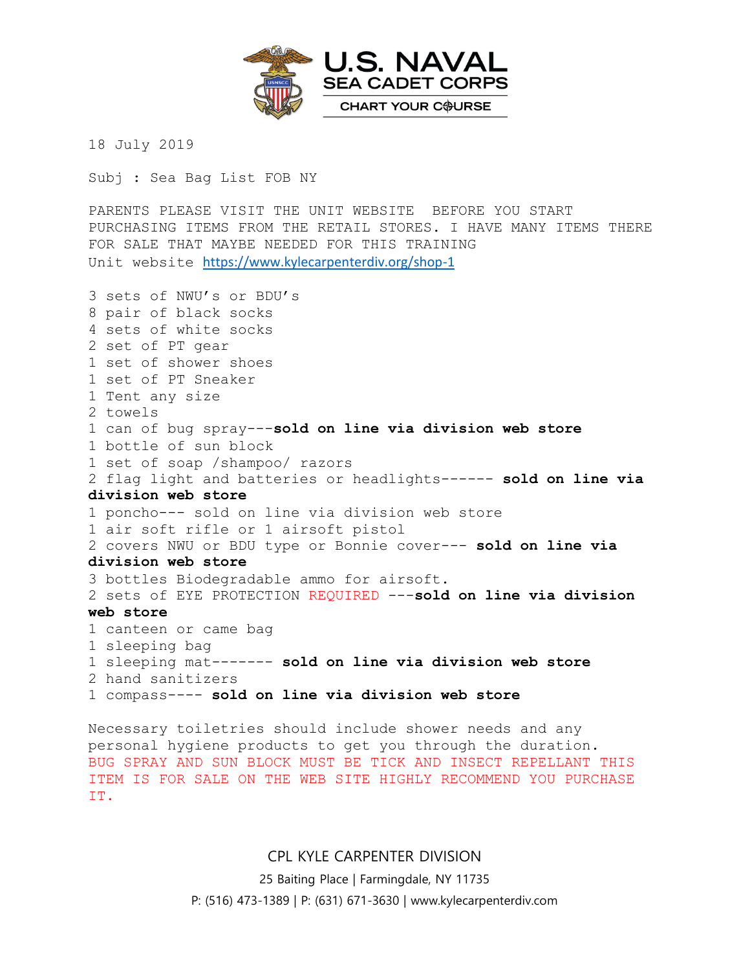

18 July 2019

Subj : Sea Bag List FOB NY

PARENTS PLEASE VISIT THE UNIT WEBSITE BEFORE YOU START PURCHASING ITEMS FROM THE RETAIL STORES. I HAVE MANY ITEMS THERE FOR SALE THAT MAYBE NEEDED FOR THIS TRAINING Unit website <https://www.kylecarpenterdiv.org/shop-1>

3 sets of NWU's or BDU's 8 pair of black socks 4 sets of white socks 2 set of PT gear 1 set of shower shoes 1 set of PT Sneaker 1 Tent any size 2 towels 1 can of bug spray---**sold on line via division web store** 1 bottle of sun block 1 set of soap /shampoo/ razors 2 flag light and batteries or headlights------ **sold on line via division web store** 1 poncho--- sold on line via division web store 1 air soft rifle or 1 airsoft pistol 2 covers NWU or BDU type or Bonnie cover--- **sold on line via division web store** 3 bottles Biodegradable ammo for airsoft. 2 sets of EYE PROTECTION REQUIRED ---**sold on line via division web store** 1 canteen or came bag 1 sleeping bag 1 sleeping mat------- **sold on line via division web store** 2 hand sanitizers 1 compass---- **sold on line via division web store**

Necessary toiletries should include shower needs and any personal hygiene products to get you through the duration. BUG SPRAY AND SUN BLOCK MUST BE TICK AND INSECT REPELLANT THIS ITEM IS FOR SALE ON THE WEB SITE HIGHLY RECOMMEND YOU PURCHASE IT.

## CPL KYLE CARPENTER DIVISION

25 Baiting Place | Farmingdale, NY 11735

P: (516) 473-1389 | P: (631) 671-3630 | www.kylecarpenterdiv.com